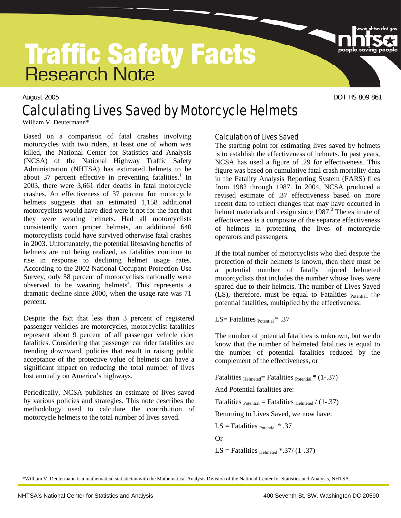# **Traffic Safety Facts**<br>Research Note

# August 2005 **DOT HS 809 861** Calculating Lives Saved by Motorcycle Helmets

William V. Deutermann\*

Based on a comparison of fatal crashes involving motorcycles with two riders, at least one of whom was killed, the National Center for Statistics and Analysis (NCSA) of the National Highway Traffic Safety Administration (NHTSA) has estimated helmets to be about 37 percent effective in preventing fatalities.<sup>1</sup> In 2003, there were 3,661 rider deaths in fatal motorcycle crashes. An effectiveness of 37 percent for motorcycle helmets suggests that an estimated 1,158 additional motorcyclists would have died were it not for the fact that they were wearing helmets. Had all motorcyclists consistently worn proper helmets, an additional 640 motorcyclists could have survived otherwise fatal crashes in 2003. Unfortunately, the potential lifesaving benefits of helmets are not being realized, as fatalities continue to rise in response to declining helmet usage rates. According to the 2002 National Occupant Protection Use Survey, only 58 percent of motorcyclists nationally were observed to be wearing helmets<sup>2</sup>. This represents a dramatic decline since 2000, when the usage rate was 71 percent.

Despite the fact that less than 3 percent of registered passenger vehicles are motorcycles, motorcyclist fatalities represent about 9 percent of all passenger vehicle rider fatalities. Considering that passenger car rider fatalities are trending downward, policies that result in raising public acceptance of the protective value of helmets can have a significant impact on reducing the total number of lives lost annually on America's highways.

Periodically, NCSA publishes an estimate of lives saved by various policies and strategies. This note describes the methodology used to calculate the contribution of motorcycle helmets to the total number of lives saved.

#### Calculation of Lives Saved

The starting point for estimating lives saved by helmets is to establish the effectiveness of helmets. In past years, NCSA has used a figure of .29 for effectiveness. This figure was based on cumulative fatal crash mortality data in the Fatality Analysis Reporting System (FARS) files from 1982 through 1987. In 2004, NCSA produced a revised estimate of .37 effectiveness based on more recent data to reflect changes that may have occurred in helmet materials and design since 1987.<sup>3</sup> The estimate of effectiveness is a composite of the separate effectiveness of helmets in protecting the lives of motorcycle operators and passengers.

If the total number of motorcyclists who died despite the protection of their helmets is known, then there must be a potential number of fatally injured helmeted motorcyclists that includes the number whose lives were spared due to their helmets. The number of Lives Saved (LS), therefore, must be equal to Fatalities Potential, the potential fatalities, multiplied by the effectiveness:

LS= Fatalities  $_{\text{Potential}}$   $*$  .37

The number of potential fatalities is unknown, but we do know that the number of helmeted fatalities is equal to the number of potential fatalities reduced by the complement of the effectiveness, or

Fatalities  $_{\text{Helmeted}}$ = Fatalities  $_{\text{Potential}}$  \* (1-.37)

And Potential fatalities are:

Fatalities  $_{Potential} =$  Fatalities  $_{Helmeted} / (1-.37)$ 

Returning to Lives Saved, we now have:

LS = Fatalities  $_{Potential} * .37$ 

Or

LS = Fatalities  $_{\text{Helmeted}}$  \*.37/ (1-.37)

\*William V. Deutermann is a mathematical statistician with the Mathematical Analysis Division of the National Center for Statistics and Analysis, NHTSA.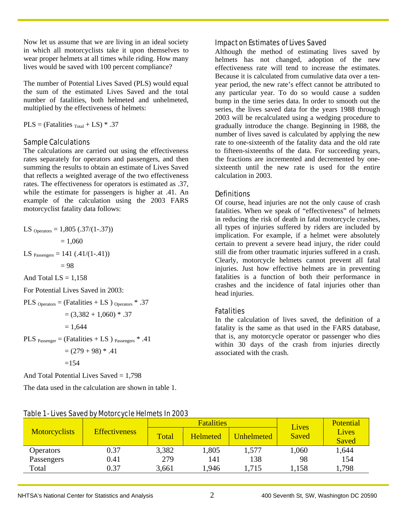Now let us assume that we are living in an ideal society in which all motorcyclists take it upon themselves to wear proper helmets at all times while riding. How many lives would be saved with 100 percent compliance?

The number of Potential Lives Saved (PLS) would equal the sum of the estimated Lives Saved and the total number of fatalities, both helmeted and unhelmeted, multiplied by the effectiveness of helmets:

 $PLS = (Fatalities<sub>Total</sub> + LS)*.37$ 

#### Sample Calculations

The calculations are carried out using the effectiveness rates separately for operators and passengers, and then summing the results to obtain an estimate of Lives Saved that reflects a weighted average of the two effectiveness rates. The effectiveness for operators is estimated as .37, while the estimate for passengers is higher at .41. An example of the calculation using the 2003 FARS motorcyclist fatality data follows:

LS 
$$
_{\text{Operations}} = 1,805 \cdot (0.37/(1-.37))
$$
\n $= 1,060$ \nLS  $_{\text{Passengers}} = 141 \cdot (0.41/(1-.41))$ \n $= 98$ \nAnd Total LS = 1,158\nFor Potential Lives Saved in 2003:\nPLS  $_{\text{Operations}} = (\text{Fatalities} + \text{LS}) \cdot \text{Operations}^* \cdot .37$ \n $= (3,382 + 1,060) \cdot 0.37$ \n $= 1,644$ \nPLS  $_{\text{Passenger}} = (\text{Fatalities} + \text{LS}) \cdot \text{Passengers}^* \cdot .41$ \n $= (279 + 98) \cdot 0.41$ 

 $=154$ 

And Total Potential Lives Saved  $= 1,798$ 

The data used in the calculation are shown in table 1.

#### Impact on Estimates of Lives Saved

Although the method of estimating lives saved by helmets has not changed, adoption of the new effectiveness rate will tend to increase the estimates. Because it is calculated from cumulative data over a tenyear period, the new rate's effect cannot be attributed to any particular year. To do so would cause a sudden bump in the time series data. In order to smooth out the series, the lives saved data for the years 1988 through 2003 will be recalculated using a wedging procedure to gradually introduce the change. Beginning in 1988, the number of lives saved is calculated by applying the new rate to one-sixteenth of the fatality data and the old rate to fifteen-sixteenths of the data. For succeeding years, the fractions are incremented and decremented by onesixteenth until the new rate is used for the entire calculation in 2003.

#### **Definitions**

Of course, head injuries are not the only cause of crash fatalities. When we speak of "effectiveness" of helmets in reducing the risk of death in fatal motorcycle crashes, all types of injuries suffered by riders are included by implication. For example, if a helmet were absolutely certain to prevent a severe head injury, the rider could still die from other traumatic injuries suffered in a crash. Clearly, motorcycle helmets cannot prevent all fatal injuries. Just how effective helmets are in preventing fatalities is a function of both their performance in crashes and the incidence of fatal injuries other than head injuries.

#### **Fatalities**

In the calculation of lives saved, the definition of a fatality is the same as that used in the FARS database, that is, any motorcycle operator or passenger who dies within 30 days of the crash from injuries directly associated with the crash.

| <b>Motorcyclists</b> | <b>Effectiveness</b> | <b>Fatalities</b> |                 |            | Lives | <b>Potential</b>      |
|----------------------|----------------------|-------------------|-----------------|------------|-------|-----------------------|
|                      |                      | Total             | <b>Helmeted</b> | Unhelmeted | Saved | Lives<br><b>Saved</b> |
| <b>Operators</b>     | 0.37                 | 3,382             | 1,805           | 1,577      | 1,060 | 1,644                 |
| Passengers           | 0.41                 | 279               | 141             | 138        | 98    | 154                   |
| Total                | 0.37                 | 3,661             | 1,946           | 1,715      | 1,158 | 1,798                 |

#### Table 1 - Lives Saved by Motorcycle Helmets In 2003